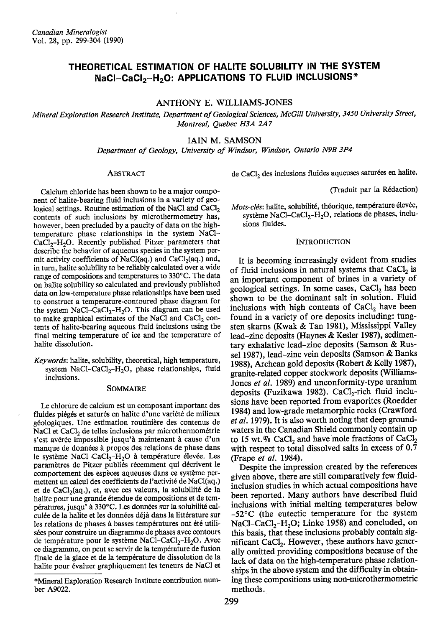# THEORETICAL ESTIMATION OF HALITE SOLUBILITY IN THE SYSTEM NaCl-CaCl<sub>2</sub>-H<sub>2</sub>O: APPLICATIONS TO FLUID INCLUSIONS\*

ANTHONY E. WILLIAMS-JONES

Mineral Exploration Research Institute, Department of Geological Sciences, McGill University, 3450 University Street, Montreal, Ouebec H3A 2A7

# IAIN M. SAMSON

Department of Geology, University of Windsor, Windsor, Ontario N9B 3P4

#### **ABSTRACT**

Calcium chloride has been shown to be a major component of halite-bearing fluid inclusions in a variety of geological settings. Routine estimation of the NaCl and CaCl<sub>2</sub> contents of such inclusions by microthermometry has, however, been precluded by a paucity of data on the hightemperature phase relationships in the system NaCl- $CaCl<sub>2</sub>-H<sub>2</sub>O$ . Recently published Pitzer parameters that describe the behavior of aqueous species in the system permit activity coefficients of NaCl(aq.) and CaCl<sub>2</sub>(aq.) and, in turn, halite solubility to be reliably calculated over a wide range of compositions and temperatures to 330°C. The data on halite solubility so calculated and previously published data on low-temperature phase relationships have been used to construct a temperature-contoured phase diagram for the system NaCl-CaCl<sub>2</sub>-H<sub>2</sub>O. This diagram can be used to make graphical estimates of the NaCl and CaCl<sub>2</sub> contents of halite-bearing aqueous fluid inclusions using the final melting temperature of ice and the temperature of halite dissolution.

Keywords: halite, solubility, theoretical, high temperature, system NaCl-CaCl<sub>2</sub>-H<sub>2</sub>O, phase relationships, fluid inclusions.

#### SOMMAIRE

Le chlorure de calcium est un composant important des fluides piégés et saturés en halite d'une variété de milieux géologiques. Une estimation routinière des contenus de NaCl et CaCl<sub>2</sub> de telles inclusions par microthermométrie s'est avérée impossible jusqu'à maintenant à cause d'un manque de données à propos des relations de phase dans le système NaCl-CaCl<sub>2</sub>-H<sub>2</sub>O à température élevée. Les paramètres de Pitzer publiés récemment qui décrivent le comportement des espèces aqueuses dans ce système permettent un calcul des coefficients de l'activité de NaCl(aq.) et de CaCl<sub>2</sub>(aq.), et, avec ces valeurs, la solubilité de la halite pour une grande étendue de compositions et de températures, jusqu' à 330°C. Les données sur la solubilité calculée de la halite et les données déjà dans la littérature sur les relations de phases à basses températures ont été utilisées pour construire un diagramme de phases avec contours de température pour le système NaCl-CaCl<sub>2</sub>-H<sub>2</sub>O. Avec ce diagramme, on peut se servir de la température de fusion finale de la glace et de la température de dissolution de la halite pour évaluer graphiquement les teneurs de NaCl et de CaCl<sub>2</sub> des inclusions fluides aqueuses saturées en halite.

(Traduit par la Rédaction)

Mots-clés: halite, solubilité, théorique, température élevée, système NaCl-CaCl<sub>2</sub>-H<sub>2</sub>O, relations de phases, inclusions fluides.

### **INTRODUCTION**

It is becoming increasingly evident from studies of fluid inclusions in natural systems that CaCl<sub>2</sub> is an important component of brines in a variety of geological settings. In some cases, CaCl<sub>2</sub> has been shown to be the dominant salt in solution. Fluid inclusions with high contents of CaCl<sub>2</sub> have been found in a variety of ore deposits including: tungsten skarns (Kwak & Tan 1981), Mississippi Valley lead-zinc deposits (Haynes & Kesler 1987), sedimentary exhalative lead-zinc deposits (Samson & Russel 1987), lead-zinc vein deposits (Samson & Banks 1988), Archean gold deposits (Robert & Kelly 1987), granite-related copper stockwork deposits (Williams-Jones et al. 1989) and unconformity-type uranium deposits (Fuzikawa 1982). CaCl<sub>2</sub>-rich fluid inclusions have been reported from evaporites (Roedder 1984) and low-grade metamorphic rocks (Crawford *et al.* 1979). It is also worth noting that deep groundwaters in the Canadian Shield commonly contain up to 15 wt.% CaCl<sub>2</sub> and have mole fractions of  $CaCl<sub>2</sub>$ with respect to total dissolved salts in excess of  $0.\overline{7}$ (Frape *et al.* 1984).

Despite the impression created by the references given above, there are still comparatively few fluidinclusion studies in which actual compositions have been reported. Many authors have described fluid inclusions with initial melting temperatures below  $-52$ °C (the eutectic temperature for the system NaCl–CaCl<sub>2</sub>–H<sub>2</sub>O; Linke 1958) and concluded, on this basis, that these inclusions probably contain significant CaCl<sub>2</sub>. However, these authors have generally omitted providing compositions because of the lack of data on the high-temperature phase relationships in the above system and the difficulty in obtaining these compositions using non-microthermometric methods.

<sup>\*</sup>Mineral Exploration Research Institute contribution number A9022.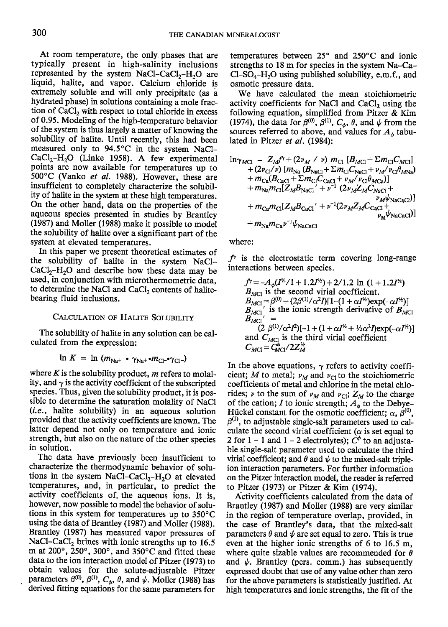At room temperature, the only phases that are typically present in high-salinity inclusions represented by the system NaCl-CaCl<sub>2</sub>-H<sub>2</sub>O are liquid, halite, and vapor. Calcium chloride is extremely soluble and will only precipitate (as a hydrated phase) in solutions containing a mole fraction of CaCl<sub>2</sub> with respect to total chloride in excess of 0.95. Modeling of the high-temperature behavior of the system is thus largely a matter of knowing the solubility of halite. Until recently, this had been measured only to 94.5°C in the system NaCl-CaCl<sub>2</sub>-H<sub>2</sub>O (Linke 1958). A few experimental points are now available for temperatures up to 500°C (Vanko et al. 1988). However, these are insufficient to completely characterize the solubility of halite in the system at these high temperatures. On the other hand, data on the properties of the aqueous species presented in studies by Brantley (1987) and Moller (1988) make it possible to model the solubility of halite over a significant part of the system at elevated temperatures.

In this paper we present theoretical estimates of the solubility of halite in the system NaCl- $CaCl<sub>2</sub>-H<sub>2</sub>O$  and describe how these data may be used, in conjunction with microthermometric data, to determine the NaCl and CaCl<sub>2</sub> contents of halitebearing fluid inclusions.

### **CALCULATION OF HALITE SOLUBILITY**

The solubility of halite in any solution can be calculated from the expression:

$$
\ln K = \ln (m_{\text{Na}^+} \cdot \gamma_{\text{Na}^+} \cdot m_{\text{Cl}^-} \cdot \gamma_{\text{Cl}^-})
$$

where  $K$  is the solubility product,  $m$  refers to molality, and  $\gamma$  is the activity coefficient of the subscripted species. Thus, given the solubility product, it is possible to determine the saturation molality of NaCl (i.e., halite solubility) in an aqueous solution provided that the activity coefficients are known. The latter depend not only on temperature and ionic strength, but also on the nature of the other species in solution.

The data have previously been insufficient to characterize the thermodynamic behavior of solutions in the system NaCl–CaCl<sub>2</sub>–H<sub>2</sub>O at elevated temperatures, and, in particular, to predict the activity coefficients of the aqueous ions. It is. however, now possible to model the behavior of solutions in this system for temperatures up to 350°C using the data of Brantley (1987) and Moller (1988). Brantley (1987) has measured vapor pressures of NaCl-CaCl<sub>2</sub> brines with ionic strengths up to 16.5 m at 200°, 250°, 300°, and 350°C and fitted these data to the ion interaction model of Pitzer (1973) to obtain values for the solute-adjustable Pitzer parameters  $\beta^{(0)}$ ,  $\beta^{(1)}$ ,  $C_{\phi}$ ,  $\theta$ , and  $\psi$ . Moller (1988) has derived fitting equations for the same parameters for

temperatures between 25° and 250°C and ionic strengths to 18 m for species in the system Na-Ca- $Cl-SO<sub>4</sub>-H<sub>2</sub>O$  using published solubility, e.m.f., and osmotic pressure data.

We have calculated the mean stoichiometric activity coefficients for NaCl and CaCl<sub>2</sub> using the following equation, simplified from Pitzer & Kim (1974), the data for  $\beta^{(0)}$ ,  $\beta^{(1)}$ ,  $C_{\phi}$ ,  $\theta$ , and  $\psi$  from the sources referred to above, and values for  $A_{\phi}$  tabulated in Pitzer et al. (1984):

$$
\ln \gamma_{MC1} = Z_M f' + (2\nu_M / \nu) m_{Cl} [B_{MC1} + \Sigma m_{Cl} C_{MC1}]
$$
  
+  $(2\nu_{Cl}/\nu) [m_{Na} (B_{NaCl} + \Sigma m_{Cl} C_{NaCl} + \nu_{M}/\nu_{Cl} \theta_{MNa})$   
+  $m_{Ca} (B_{CaCl} + \Sigma m_{Cl} C_{CaCl} + \nu_{M}/\nu_{Cl} \theta_{MCa})]$   
+  $m_{Na} m_{Cl} [Z_M B_{NaCl'} + \nu^{-1} (2\nu_M Z_M C_{NaCl} + \nu_{M} \nu_{NaCaCl})]$   
+  $m_{Ca} m_{Cl} [Z_M B_{CaCl'} + \nu^{-1} (2\nu_M Z_M C_{CaCl} + \nu_{M} \nu_{NaCaCl})]$   
+  $m_{Na} m_{Ca} \nu^{-1} \psi_{NaCaCl}$ 

where:

 $f<sup>γ</sup>$  is the electrostatic term covering long-range interactions between species.

$$
f' = -A_{\phi}(I'^{2}/1 + 1.2I'^{2}) + 2/1.2 \ln (1 + 1.2I'^{2})
$$
  
\n
$$
B_{MC1} \text{ is the second virial coefficient.}
$$
  
\n
$$
B_{MC1} = \beta^{(0)} + (2\beta^{(1)}/\alpha^{2}I)[1-(1+\alpha I'^{2})\exp(-\alpha I'^{2})]
$$
  
\n
$$
B_{MC1}' \text{ is the ionic strength derivative of } B_{MC1}
$$
  
\n
$$
B_{MC1}' = (2 \beta^{(1)}/\alpha^{2}I^{2})[-1 + (1+\alpha I'^{2} + \frac{1}{2}\alpha^{2}I)\exp(-\alpha I'^{2})]
$$
  
\nand  $C_{MC1}$  is the third virial coefficient  
\n
$$
C_{MC1} = G_{MC1}^{\rho/2}/2Z_{\text{M}}^{\gamma}
$$

In the above equations,  $\gamma$  refers to activity coefficient; M to metal;  $\nu_M$  and  $\nu_{Cl}$  to the stoichiometric coefficients of metal and chlorine in the metal chlorides;  $\nu$  to the sum of  $\nu_M$  and  $\nu_{\text{Cl}}$ ;  $Z_M$  to the charge of the cation; I to ionic strength;  $A_{\phi}$  to the Debye-Hückel constant for the osmotic coefficient;  $\alpha$ ,  $\beta^{(0)}$ ,  $\beta^{(1)}$ , to adjustable single-salt parameters used to calculate the second virial coefficient ( $\alpha$  is set equal to 2 for 1 – 1 and 1 – 2 electrolytes);  $C^{\phi}$  to an adjustable single-salt parameter used to calculate the third virial coefficient; and  $\theta$  and  $\psi$  to the mixed-salt tripleion interaction parameters. For further information on the Pitzer interaction model, the reader is referred to Pitzer (1973) or Pitzer & Kim (1974).

Activity coefficients calculated from the data of Brantley (1987) and Moller (1988) are very similar in the region of temperature overlap, provided, in the case of Brantley's data, that the mixed-salt parameters  $\theta$  and  $\psi$  are set equal to zero. This is true even at the higher ionic strengths of 6 to 16.5 m, where quite sizable values are recommended for  $\theta$ and  $\psi$ . Brantley (pers. comm.) has subsequently expressed doubt that use of any value other than zero for the above parameters is statistically justified. At high temperatures and ionic strengths, the fit of the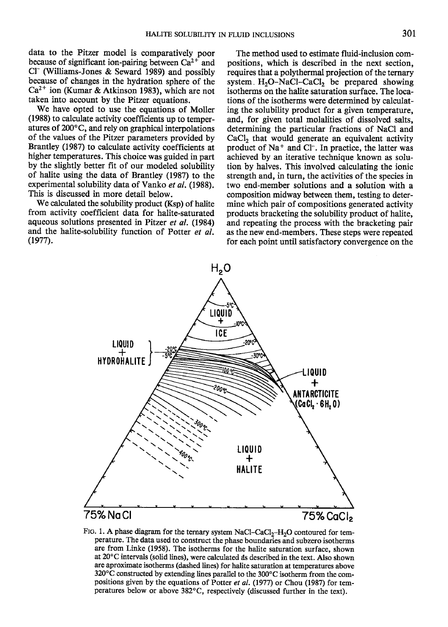data to the Pitzer model is comparatively poor because of significant ion-pairing between  $Ca^{2+}$  and  $Cl^-$  (Williams-Jones & Seward 1989) and possibly because of changes in the hydration sphere of the  $Ca^{2+}$  ion (Kumar & Atkinson 1983), which are not taken into account by the Pitzer equations.

We have opted to use the equations of Moller (1988) to calculate activity coefficients up to temperatures of 200°C, and rely on graphical interpolations of the values of the Pitzer parameters provided by Brantley (1987) to calculate activity coefficients at higher temperatures. This choice was guided in part by the slightly better fit of our modeled solubility of halite using the data of Brantley (1987) to the experimental solubility data of Vanko et al. (1988). This is discussed in more detail below.

We calculated the solubility product (Ksp) of halite from activity coefficient data for halite-saturated aqueous solutions presented in Pitzer et al. (1984) and the halite-solubility function of Potter et al.  $(1977).$ 

The method used to estimate fluid-inclusion compositions, which is described in the next section. requires that a polythermal projection of the ternary system  $H_2O-NaCl-CaCl_2$  be prepared showing isotherms on the halite saturation surface. The locations of the isotherms were determined by calculating the solubility product for a given temperature, and, for given total molalities of dissolved salts, determining the particular fractions of NaCl and  $CaCl<sub>2</sub>$  that would generate an equivalent activity product of Na<sup>+</sup> and Cl<sup>-</sup>. In practice, the latter was achieved by an iterative technique known as solution by halves. This involved calculating the ionic strength and, in turn, the activities of the species in two end-member solutions and a solution with a composition midway between them, testing to determine which pair of compositions generated activity products bracketing the solubility product of halite, and repeating the process with the bracketing pair as the new end-members. These steps were repeated for each point until satisfactory convergence on the



FIG. 1. A phase diagram for the ternary system NaCl-CaCl<sub>2</sub>-H<sub>2</sub>O contoured for temperature. The data used to construct the phase boundaries and subzero isotherms are from Linke (1958). The isotherms for the halite saturation surface, shown at 20°C intervals (solid lines), were calculated as described in the text. Also shown are aproximate isotherms (dashed lines) for halite saturation at temperatures above 320°C constructed by extending lines parallel to the 300°C isotherm from the compositions given by the equations of Potter et al. (1977) or Chou (1987) for temperatures below or above 382°C, respectively (discussed further in the text).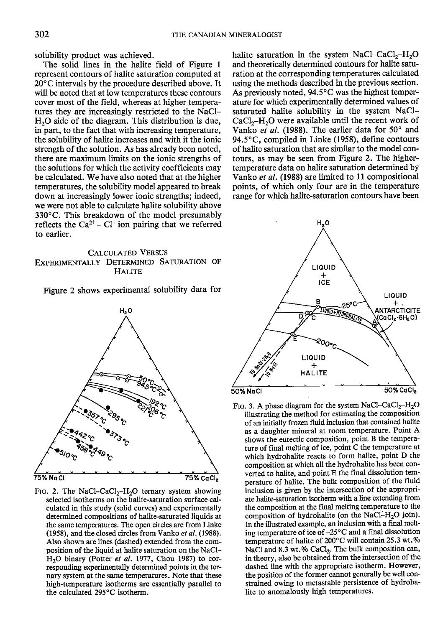solubility product was achieved.

The solid lines in the halite field of Figure 1 represent contours of halite saturation computed at  $20^{\circ}$ C intervals by the procedure described above. It will be noted that at low temperatures these contours cover most of the field, whereas at higher temperatures they are increasingly restricted to the NaCl-H<sub>2</sub>O side of the diagram. This distribution is due, in part, to the fact that with increasing temperature, the solubility of halite increases and with it the ionic strength of the solution. As has already been noted, there are maximum limits on the ionic strengths of the solutions for which the activity coefficients may be calculated. We have also noted that at the higher temperatures, the solubility model appeared to break down at increasingly lower ionic strengths; indeed, we were not able to calculate halite solubility above 330°C. This breakdown of the model presumably reflects the  $Ca^{2+}$  – Cl<sup>-</sup> ion pairing that we referred to earlier.

# **CALCULATED VERSUS** EXPERIMENTALLY DETERMINED SATURATION OF **HALITE**

Figure 2 shows experimental solubility data for



FIG. 2. The NaCl-CaCl<sub>2</sub>-H<sub>2</sub>O ternary system showing selected isotherms on the halite-saturation surface calculated in this study (solid curves) and experimentally determined compositions of halite-saturated liquids at the same temperatures. The open circles are from Linke (1958), and the closed circles from Vanko et al. (1988). Also shown are lines (dashed) extended from the composition of the liquid at halite saturation on the NaCl-H<sub>2</sub>O binary (Potter et al. 1977, Chou 1987) to corresponding experimentally determined points in the ternary system at the same temperatures. Note that these high-temperature isotherms are essentially parallel to the calculated 295°C isotherm.

halite saturation in the system NaCl–CaCl<sub>2</sub>–H<sub>2</sub>O and theoretically determined contours for halite saturation at the corresponding temperatures calculated using the methods described in the previous section. As previously noted, 94.5°C was the highest temperature for which experimentally determined values of saturated halite solubility in the system NaCl- $CaCl<sub>2</sub>-H<sub>2</sub>O$  were available until the recent work of Vanko et al. (1988). The earlier data for 50° and 94.5°C, compiled in Linke (1958), define contours of halite saturation that are similar to the model contours, as may be seen from Figure 2. The highertemperature data on halite saturation determined by Vanko et al. (1988) are limited to 11 compositional points, of which only four are in the temperature range for which halite-saturation contours have been



FIG. 3. A phase diagram for the system NaCl-CaCl<sub>2</sub>-H<sub>2</sub>O illustrating the method for estimating the composition of an initially frozen fluid inclusion that contained halite as a daughter mineral at room temperature. Point A shows the eutectic composition, point B the temperature of final melting of ice, point C the temperature at which hydrohalite reacts to form halite, point D the composition at which all the hydrohalite has been converted to halite, and point E the final dissolution temperature of halite. The bulk composition of the fluid inclusion is given by the intersection of the appropriate halite-saturation isotherm with a line extending from the composition at the final melting temperature to the composition of hydrohalite (on the NaCl-H<sub>2</sub>O join). In the illustrated example, an inclusion with a final melting temperature of ice of  $-25^{\circ}$ C and a final dissolution temperature of halite of 200°C will contain 25.3 wt.% NaCl and 8.3 wt.% CaCl<sub>2</sub>. The bulk composition can, in theory, also be obtained from the intersection of the dashed line with the appropriate isotherm. However, the position of the former cannot generally be well constrained owing to metastable persistence of hydrohalite to anomalously high temperatures.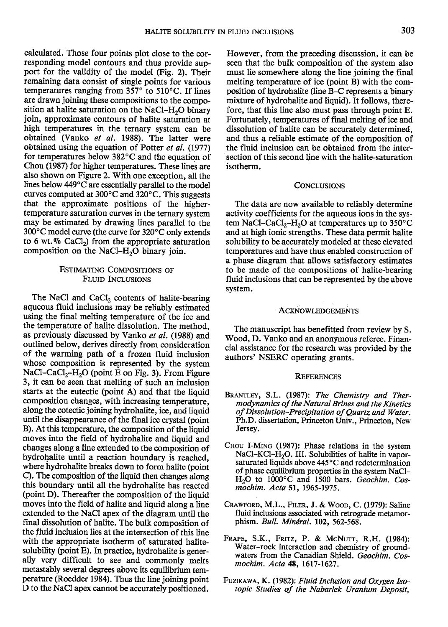calculated. Those four points plot close to the corresponding model contours and thus provide support for the validity of the model (Fig. 2). Their remaining data consist of single points for various temperatures ranging from  $357^\circ$  to  $510^\circ$ C. If lines are drawn joining these compositions to the composition at halite saturation on the NaCl–H<sub>2</sub>O binary join, approximate contours of halite saturation at high temperatures in the ternary system can be obtained (Vanko et al. 1988). The latter were obtained using the equation of Potter et al. (1977) for temperatures below 382"C and the equation of Chou (1987) for higher temperatures. These lines are also shown on Figure 2. With one exception, all the lines below 449"C are essentially parallel to the model curves computed at  $300^{\circ}$ C and  $320^{\circ}$ C. This suggests that the approximate positions of the highertemperature saturation curves in the ternary system may be estimated by drawing lines parallel to the 300°C model curve (the curve for 320°C only extends to 6 wt. $%$  CaCl<sub>2</sub>) from the appropriate saturation composition on the NaCl- $H_2O$  binary join.

### ESTIMATING CoMPoSITIoNS oF FLUID INCLUSIONS

The NaCl and CaCl<sub>2</sub> contents of halite-bearing aqueous fluid inclusions may be reliably estimated using the final melting temperature of the ice and the temperature of halite dissolution. The method, as previously discussed by Vanko et al. (1988) and outlined below, derives directly from consideration of the warming path of a frozen fluid inclusion whose composition is represented by the system NaCl-CaCl<sub>2</sub>-H<sub>2</sub>O (point E on Fig. 3). From Figure 3, it can be seen that melting of such an inclusion starts at the eutectic (point A) and that the liquid composition changes, with increasing temperature, along the cotectic joining hydrohalite, ice, and liquid until the disappearance of the final ice crystal (point B). At this temperature, the composition of the liquid moves into the field of hydrohalite and liquid and changes along a line extended to the composition of hydrohalite until a reaction boundary is reached, where hydrohalite breaks down to form halite (point 9. The composition of the liquid then changes along this boundary until all the hydrohalite has reacted (point D). Thereafter the composition of the liquid moves into the field of halite and liquid along a line extended to the NaCl apex of the diagram until the final dissolution of halite. The bulk composition of the fluid inclusion lies at the intersection of this line with the appropriate isotherm of saturated halitesolubility (point E). In practice, hydrohalite is generally very difficult to see and commonly melts metastably several degrees above its equilibrium temperature (Roedder 1984). Thus the line joining point D to the NaCl apex cannot be accurately positioned.

However, from the preceding discussion, it can be seen that the bulk composition of the system also must lie somewhere along the line joining the final melting temperature of ice (point B) with the composition of hydrohalite Qine B-C represents a binary mixture of hydrohalite and liquid). It follows, therefore, that this line also must pass through point E. Fortunately, temperatures of final melting of ice and dissolution of halite can be accurately determined, and thus a reliable estimate of the composition of the fluid inclusion can be obtained from the intersection of this second line with the halite-saturation isotherm.

### **CONCLUSIONS**

The data are now available to reliably determine activity coefficients for the aqueous ions in the system NaCl-CaCl<sub>2</sub>-H<sub>2</sub>O at temperatures up to 350 $^{\circ}$ C and at high ionic strengths. These data permit halite solubility to be accurately modeled at these elevated temperatures and have thus enabled construction of a phase diagram that allows satisfactory estimates to be made of the compositions of halite-bearing fluid inclusions that can be represented by the above system.

### ACKNowLEDGEMENTs

The manuscript has benefitted from review by S. Wood, D. Vanko and an anonymous referee. Financial assistance for the research was provided by the authors' NSERC operating grants.

### REFERENCES

- BRANTLEY, S.L. (1987): The Chemistry and Thermodynamics of the Natural Brines and the Kinetics of Dissolution-Precipitation of Quartz and Water. Ph.D. dissertation, Princeton Univ., Princeton, New Jersey.
- CHou I-MrNo (1987): Phase relations in the system NaCl-KCl-H<sub>2</sub>O. III. Solubilities of halite in vaporsaturated liquids above  $445^{\circ}$ C and redetermination of phase equilibrium properties in the system NaCI- $H<sub>2</sub>O$  to 1000°C and 1500 bars. Geochim. Cosmochim. Acta 51, 1965-1975.
- CRAWFORD, M.L., FILER, J. & WOOD, C. (1979): Saline fluid inclusions associated with retrograde metamorphism. Bull. Minéral. 102, 562-568.
- Fnaer, S.K., Fnrrz, P. & McNurr, R.H. (1984): Water-rock interaction and chemistry of groundwaters from the Canadian Shield. Geochim. Cosmochim. Acta 48, 1617-1627.
- FUZIKAWA, K. (1982): Fluid Inclusion and Oxygen Isotopic Studies of the Nabarlek Uranium Deposit,